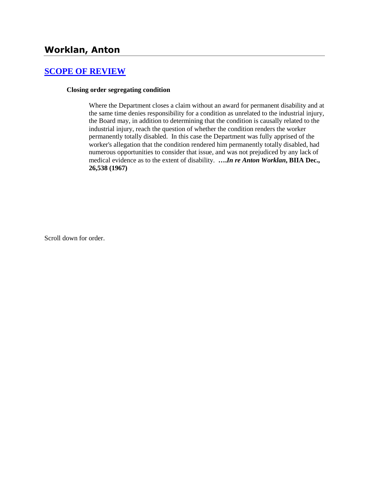# **Worklan, Anton**

### **[SCOPE OF REVIEW](http://www.biia.wa.gov/SDSubjectIndex.html#SCOPE_OF_REVIEW)**

#### **Closing order segregating condition**

Where the Department closes a claim without an award for permanent disability and at the same time denies responsibility for a condition as unrelated to the industrial injury, the Board may, in addition to determining that the condition is causally related to the industrial injury, reach the question of whether the condition renders the worker permanently totally disabled.In this case the Department was fully apprised of the worker's allegation that the condition rendered him permanently totally disabled, had numerous opportunities to consider that issue, and was not prejudiced by any lack of medical evidence as to the extent of disability. **….***In re Anton Worklan***, BIIA Dec., 26,538 (1967)** 

Scroll down for order.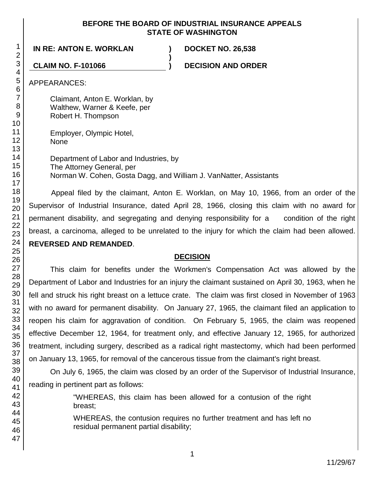#### **BEFORE THE BOARD OF INDUSTRIAL INSURANCE APPEALS STATE OF WASHINGTON**

# **IN RE: ANTON E. WORKLAN ) DOCKET NO. 26,538**

**CLAIM NO. F-101066 ) DECISION AND ORDER**

APPEARANCES:

Claimant, Anton E. Worklan, by Walthew, Warner & Keefe, per Robert H. Thompson

Employer, Olympic Hotel, None

Department of Labor and Industries, by The Attorney General, per Norman W. Cohen, Gosta Dagg, and William J. VanNatter, Assistants

**)**

Appeal filed by the claimant, Anton E. Worklan, on May 10, 1966, from an order of the Supervisor of Industrial Insurance, dated April 28, 1966, closing this claim with no award for permanent disability, and segregating and denying responsibility for a condition of the right breast, a carcinoma, alleged to be unrelated to the injury for which the claim had been allowed. **REVERSED AND REMANDED**.

# **DECISION**

This claim for benefits under the Workmen's Compensation Act was allowed by the Department of Labor and Industries for an injury the claimant sustained on April 30, 1963, when he fell and struck his right breast on a lettuce crate. The claim was first closed in November of 1963 with no award for permanent disability. On January 27, 1965, the claimant filed an application to reopen his claim for aggravation of condition. On February 5, 1965, the claim was reopened effective December 12, 1964, for treatment only, and effective January 12, 1965, for authorized treatment, including surgery, described as a radical right mastectomy, which had been performed on January 13, 1965, for removal of the cancerous tissue from the claimant's right breast.

On July 6, 1965, the claim was closed by an order of the Supervisor of Industrial Insurance, reading in pertinent part as follows:

> "WHEREAS, this claim has been allowed for a contusion of the right breast;

> WHEREAS, the contusion requires no further treatment and has left no residual permanent partial disability;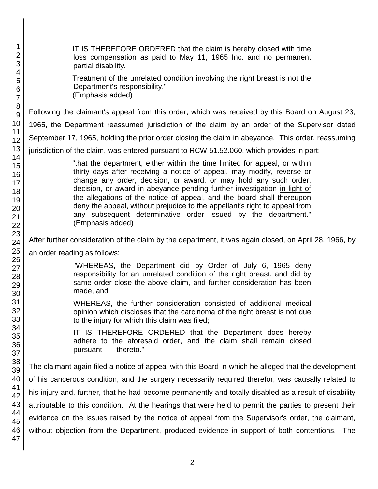| 1<br>$\overline{2}$<br>3                     | IT IS THEREFORE ORDERED that the claim is hereby closed with time<br>loss compensation as paid to May 11, 1965 Inc. and no permanent<br>partial disability.                                                                                                                                                                                                                                                                                                                                                                                        |
|----------------------------------------------|----------------------------------------------------------------------------------------------------------------------------------------------------------------------------------------------------------------------------------------------------------------------------------------------------------------------------------------------------------------------------------------------------------------------------------------------------------------------------------------------------------------------------------------------------|
| 4<br>5<br>$\,6$<br>$\overline{7}$            | Treatment of the unrelated condition involving the right breast is not the<br>Department's responsibility."<br>(Emphasis added)                                                                                                                                                                                                                                                                                                                                                                                                                    |
| 8<br>9                                       | Following the claimant's appeal from this order, which was received by this Board on August 23,                                                                                                                                                                                                                                                                                                                                                                                                                                                    |
| 10                                           | 1965, the Department reassumed jurisdiction of the claim by an order of the Supervisor dated                                                                                                                                                                                                                                                                                                                                                                                                                                                       |
| 11<br>12                                     | September 17, 1965, holding the prior order closing the claim in abeyance. This order, reassuming                                                                                                                                                                                                                                                                                                                                                                                                                                                  |
| 13                                           | jurisdiction of the claim, was entered pursuant to RCW 51.52.060, which provides in part:                                                                                                                                                                                                                                                                                                                                                                                                                                                          |
| 14<br>15<br>16<br>17<br>18<br>19<br>20<br>21 | "that the department, either within the time limited for appeal, or within<br>thirty days after receiving a notice of appeal, may modify, reverse or<br>change any order, decision, or award, or may hold any such order,<br>decision, or award in abeyance pending further investigation in light of<br>the allegations of the notice of appeal, and the board shall thereupon<br>deny the appeal, without prejudice to the appellant's right to appeal from<br>any subsequent determinative order issued by the department."<br>(Emphasis added) |
| 22<br>23<br>24                               | After further consideration of the claim by the department, it was again closed, on April 28, 1966, by                                                                                                                                                                                                                                                                                                                                                                                                                                             |
| 25<br>26                                     | an order reading as follows:                                                                                                                                                                                                                                                                                                                                                                                                                                                                                                                       |
| 27<br>28<br>29<br>30                         | "WHEREAS, the Department did by Order of July 6, 1965 deny<br>responsibility for an unrelated condition of the right breast, and did by<br>same order close the above claim, and further consideration has been<br>made, and                                                                                                                                                                                                                                                                                                                       |
| 31<br>32<br>33                               | WHEREAS, the further consideration consisted of additional medical<br>opinion which discloses that the carcinoma of the right breast is not due<br>to the injury for which this claim was filed;                                                                                                                                                                                                                                                                                                                                                   |
| 34<br>35<br>36<br>37                         | IS THEREFORE ORDERED that the Department does hereby<br>IT<br>adhere to the aforesaid order, and the claim shall remain closed<br>thereto."<br>pursuant                                                                                                                                                                                                                                                                                                                                                                                            |
| 38<br>39                                     | The claimant again filed a notice of appeal with this Board in which he alleged that the development                                                                                                                                                                                                                                                                                                                                                                                                                                               |
| 40                                           | of his cancerous condition, and the surgery necessarily required therefor, was causally related to                                                                                                                                                                                                                                                                                                                                                                                                                                                 |
| 41<br>42                                     | his injury and, further, that he had become permanently and totally disabled as a result of disability                                                                                                                                                                                                                                                                                                                                                                                                                                             |
| 43                                           | attributable to this condition. At the hearings that were held to permit the parties to present their                                                                                                                                                                                                                                                                                                                                                                                                                                              |
| 44<br>45                                     | evidence on the issues raised by the notice of appeal from the Supervisor's order, the claimant,                                                                                                                                                                                                                                                                                                                                                                                                                                                   |
| 46<br>47                                     | without objection from the Department, produced evidence in support of both contentions. The                                                                                                                                                                                                                                                                                                                                                                                                                                                       |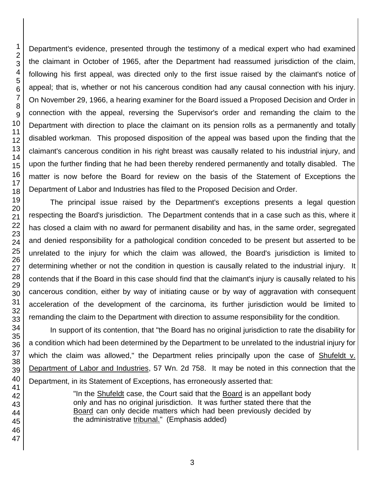Department's evidence, presented through the testimony of a medical expert who had examined the claimant in October of 1965, after the Department had reassumed jurisdiction of the claim, following his first appeal, was directed only to the first issue raised by the claimant's notice of appeal; that is, whether or not his cancerous condition had any causal connection with his injury. On November 29, 1966, a hearing examiner for the Board issued a Proposed Decision and Order in connection with the appeal, reversing the Supervisor's order and remanding the claim to the Department with direction to place the claimant on its pension rolls as a permanently and totally disabled workman. This proposed disposition of the appeal was based upon the finding that the claimant's cancerous condition in his right breast was causally related to his industrial injury, and upon the further finding that he had been thereby rendered permanently and totally disabled. The matter is now before the Board for review on the basis of the Statement of Exceptions the Department of Labor and Industries has filed to the Proposed Decision and Order.

The principal issue raised by the Department's exceptions presents a legal question respecting the Board's jurisdiction. The Department contends that in a case such as this, where it has closed a claim with no award for permanent disability and has, in the same order, segregated and denied responsibility for a pathological condition conceded to be present but asserted to be unrelated to the injury for which the claim was allowed, the Board's jurisdiction is limited to determining whether or not the condition in question is causally related to the industrial injury. It contends that if the Board in this case should find that the claimant's injury is causally related to his cancerous condition, either by way of initiating cause or by way of aggravation with consequent acceleration of the development of the carcinoma, its further jurisdiction would be limited to remanding the claim to the Department with direction to assume responsibility for the condition.

In support of its contention, that "the Board has no original jurisdiction to rate the disability for a condition which had been determined by the Department to be unrelated to the industrial injury for which the claim was allowed," the Department relies principally upon the case of Shufeldt v. Department of Labor and Industries, 57 Wn. 2d 758. It may be noted in this connection that the Department, in its Statement of Exceptions, has erroneously asserted that:

> "In the Shufeldt case, the Court said that the Board is an appellant body only and has no original jurisdiction. It was further stated there that the Board can only decide matters which had been previously decided by the administrative tribunal." (Emphasis added)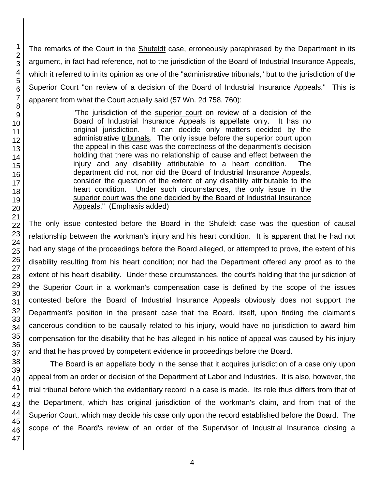The remarks of the Court in the Shufeldt case, erroneously paraphrased by the Department in its argument, in fact had reference, not to the jurisdiction of the Board of Industrial Insurance Appeals, which it referred to in its opinion as one of the "administrative tribunals," but to the jurisdiction of the Superior Court "on review of a decision of the Board of Industrial Insurance Appeals." This is apparent from what the Court actually said (57 Wn. 2d 758, 760):

> "The jurisdiction of the superior court on review of a decision of the Board of Industrial Insurance Appeals is appellate only. It has no original jurisdiction. It can decide only matters decided by the administrative tribunals. The only issue before the superior court upon the appeal in this case was the correctness of the department's decision holding that there was no relationship of cause and effect between the injury and any disability attributable to a heart condition. The department did not, nor did the Board of Industrial Insurance Appeals, consider the question of the extent of any disability attributable to the heart condition. Under such circumstances, the only issue in the superior court was the one decided by the Board of Industrial Insurance Appeals." (Emphasis added)

The only issue contested before the Board in the **Shufeldt** case was the question of causal relationship between the workman's injury and his heart condition. It is apparent that he had not had any stage of the proceedings before the Board alleged, or attempted to prove, the extent of his disability resulting from his heart condition; nor had the Department offered any proof as to the extent of his heart disability. Under these circumstances, the court's holding that the jurisdiction of the Superior Court in a workman's compensation case is defined by the scope of the issues contested before the Board of Industrial Insurance Appeals obviously does not support the Department's position in the present case that the Board, itself, upon finding the claimant's cancerous condition to be causally related to his injury, would have no jurisdiction to award him compensation for the disability that he has alleged in his notice of appeal was caused by his injury and that he has proved by competent evidence in proceedings before the Board.

The Board is an appellate body in the sense that it acquires jurisdiction of a case only upon appeal from an order or decision of the Department of Labor and Industries. It is also, however, the trial tribunal before which the evidentiary record in a case is made. Its role thus differs from that of the Department, which has original jurisdiction of the workman's claim, and from that of the Superior Court, which may decide his case only upon the record established before the Board. The scope of the Board's review of an order of the Supervisor of Industrial Insurance closing a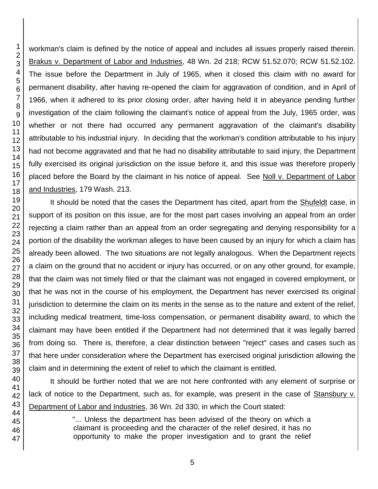workman's claim is defined by the notice of appeal and includes all issues properly raised therein. Brakus v. Department of Labor and Industries, 48 Wn. 2d 218; RCW 51.52.070; RCW 51.52.102. The issue before the Department in July of 1965, when it closed this claim with no award for permanent disability, after having re-opened the claim for aggravation of condition, and in April of 1966, when it adhered to its prior closing order, after having held it in abeyance pending further investigation of the claim following the claimant's notice of appeal from the July, 1965 order, was whether or not there had occurred any permanent aggravation of the claimant's disability attributable to his industrial injury. In deciding that the workman's condition attributable to his injury had not become aggravated and that he had no disability attributable to said injury, the Department fully exercised its original jurisdiction on the issue before it, and this issue was therefore properly placed before the Board by the claimant in his notice of appeal. See Noll v. Department of Labor and Industries, 179 Wash. 213.

It should be noted that the cases the Department has cited, apart from the **Shufeldt** case, in support of its position on this issue, are for the most part cases involving an appeal from an order rejecting a claim rather than an appeal from an order segregating and denying responsibility for a portion of the disability the workman alleges to have been caused by an injury for which a claim has already been allowed. The two situations are not legally analogous. When the Department rejects a claim on the ground that no accident or injury has occurred, or on any other ground, for example, that the claim was not timely filed or that the claimant was not engaged in covered employment, or that he was not in the course of his employment, the Department has never exercised its original jurisdiction to determine the claim on its merits in the sense as to the nature and extent of the relief, including medical treatment, time-loss compensation, or permanent disability award, to which the claimant may have been entitled if the Department had not determined that it was legally barred from doing so. There is, therefore, a clear distinction between "reject" cases and cases such as that here under consideration where the Department has exercised original jurisdiction allowing the claim and in determining the extent of relief to which the claimant is entitled.

It should be further noted that we are not here confronted with any element of surprise or lack of notice to the Department, such as, for example, was present in the case of Stansbury v. Department of Labor and Industries, 36 Wn. 2d 330, in which the Court stated:

> "... Unless the department has been advised of the theory on which a claimant is proceeding and the character of the relief desired, it has no opportunity to make the proper investigation and to grant the relief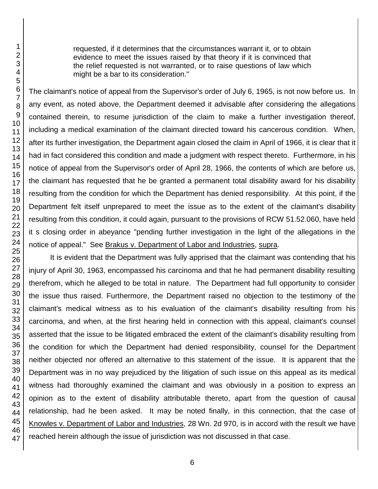requested, if it determines that the circumstances warrant it, or to obtain evidence to meet the issues raised by that theory if it is convinced that the relief requested is not warranted, or to raise questions of law which might be a bar to its consideration."

The claimant's notice of appeal from the Supervisor's order of July 6, 1965, is not now before us. In any event, as noted above, the Department deemed it advisable after considering the allegations contained therein, to resume jurisdiction of the claim to make a further investigation thereof, including a medical examination of the claimant directed toward his cancerous condition. When, after its further investigation, the Department again closed the claim in April of 1966, it is clear that it had in fact considered this condition and made a judgment with respect thereto. Furthermore, in his notice of appeal from the Supervisor's order of April 28, 1966, the contents of which are before us, the claimant has requested that he be granted a permanent total disability award for his disability resulting from the condition for which the Department has denied responsibility. At this point, if the Department felt itself unprepared to meet the issue as to the extent of the claimant's disability resulting from this condition, it could again, pursuant to the provisions of RCW 51.52.060, have held it s closing order in abeyance "pending further investigation in the light of the allegations in the notice of appeal." See Brakus v. Department of Labor and Industries, supra.

It is evident that the Department was fully apprised that the claimant was contending that his injury of April 30, 1963, encompassed his carcinoma and that he had permanent disability resulting therefrom, which he alleged to be total in nature. The Department had full opportunity to consider the issue thus raised. Furthermore, the Department raised no objection to the testimony of the claimant's medical witness as to his evaluation of the claimant's disability resulting from his carcinoma, and when, at the first hearing held in connection with this appeal, claimant's counsel asserted that the issue to be litigated embraced the extent of the claimant's disability resulting from the condition for which the Department had denied responsibility, counsel for the Department neither objected nor offered an alternative to this statement of the issue. It is apparent that the Department was in no way prejudiced by the litigation of such issue on this appeal as its medical witness had thoroughly examined the claimant and was obviously in a position to express an opinion as to the extent of disability attributable thereto, apart from the question of causal relationship, had he been asked. It may be noted finally, in this connection, that the case of Knowles v. Department of Labor and Industries, 28 Wn. 2d 970, is in accord with the result we have reached herein although the issue of jurisdiction was not discussed in that case.

6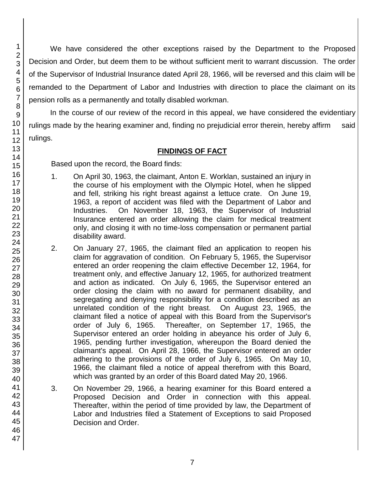We have considered the other exceptions raised by the Department to the Proposed Decision and Order, but deem them to be without sufficient merit to warrant discussion. The order of the Supervisor of Industrial Insurance dated April 28, 1966, will be reversed and this claim will be remanded to the Department of Labor and Industries with direction to place the claimant on its pension rolls as a permanently and totally disabled workman.

In the course of our review of the record in this appeal, we have considered the evidentiary rulings made by the hearing examiner and, finding no prejudicial error therein, hereby affirm said rulings.

# **FINDINGS OF FACT**

Based upon the record, the Board finds:

- 1. On April 30, 1963, the claimant, Anton E. Worklan, sustained an injury in the course of his employment with the Olympic Hotel, when he slipped and fell, striking his right breast against a lettuce crate. On June 19, 1963, a report of accident was filed with the Department of Labor and Industries. On November 18, 1963, the Supervisor of Industrial Insurance entered an order allowing the claim for medical treatment only, and closing it with no time-loss compensation or permanent partial disability award.
- 2. On January 27, 1965, the claimant filed an application to reopen his claim for aggravation of condition. On February 5, 1965, the Supervisor entered an order reopening the claim effective December 12, 1964, for treatment only, and effective January 12, 1965, for authorized treatment and action as indicated. On July 6, 1965, the Supervisor entered an order closing the claim with no award for permanent disability, and segregating and denying responsibility for a condition described as an unrelated condition of the right breast. On August 23, 1965, the claimant filed a notice of appeal with this Board from the Supervisor's order of July 6, 1965. Thereafter, on September 17, 1965, the Supervisor entered an order holding in abeyance his order of July 6, 1965, pending further investigation, whereupon the Board denied the claimant's appeal. On April 28, 1966, the Supervisor entered an order adhering to the provisions of the order of July 6, 1965. On May 10, 1966, the claimant filed a notice of appeal therefrom with this Board, which was granted by an order of this Board dated May 20, 1966.
- 3. On November 29, 1966, a hearing examiner for this Board entered a Proposed Decision and Order in connection with this appeal. Thereafter, within the period of time provided by law, the Department of Labor and Industries filed a Statement of Exceptions to said Proposed Decision and Order.